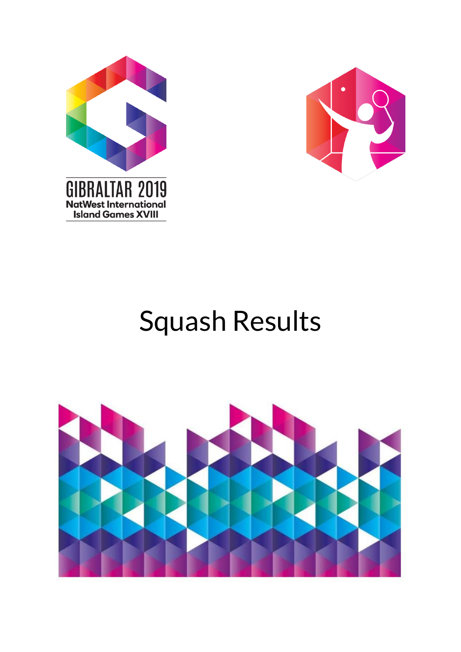



# Squash Results

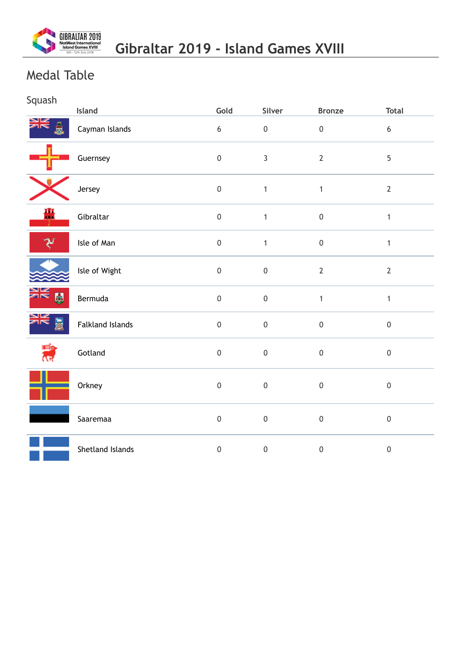

## Medal Table

| Squash              | Island                  | Gold             | Silver           | <b>Bronze</b>    | <b>Total</b>     |
|---------------------|-------------------------|------------------|------------------|------------------|------------------|
| ≫⊠                  | Cayman Islands          | $\boldsymbol{6}$ | $\boldsymbol{0}$ | $\boldsymbol{0}$ | $\boldsymbol{6}$ |
|                     | Guernsey                | $\mathbf 0$      | $\overline{3}$   | $\mathbf{2}$     | $\overline{5}$   |
|                     | Jersey                  | $\mathbf 0$      | $\mathbf{1}$     | $\mathbf{1}$     | $\overline{2}$   |
| 疊                   | Gibraltar               | $\mathbf 0$      | $\mathbf{1}$     | $\boldsymbol{0}$ | $\mathbf{1}$     |
| マ                   | Isle of Man             | $\mathbf 0$      | $\mathbf{1}$     | $\mathsf{0}$     | $\mathbf{1}$     |
|                     | Isle of Wight           | $\mathbf 0$      | $\boldsymbol{0}$ | $\mathbf{2}$     | $\overline{2}$   |
| EN WE               | Bermuda                 | $\mathbf 0$      | $\boldsymbol{0}$ | $\mathbf{1}$     | $\mathbf{1}$     |
| ≱≼<br>島             | <b>Falkland Islands</b> | $\mathbf 0$      | $\pmb{0}$        | $\boldsymbol{0}$ | $\boldsymbol{0}$ |
| F Rale<br><b>AR</b> | Gotland                 | $\mathbf 0$      | $\boldsymbol{0}$ | $\pmb{0}$        | $\mathbf 0$      |
|                     | Orkney                  | $\mathbf 0$      | $\boldsymbol{0}$ | $\boldsymbol{0}$ | $\boldsymbol{0}$ |
|                     | Saaremaa                | $\mathbf 0$      | $\boldsymbol{0}$ | $\boldsymbol{0}$ | $\mathbf 0$      |
|                     | Shetland Islands        | $\mathbf 0$      | $\boldsymbol{0}$ | $\boldsymbol{0}$ | $\mathbf 0$      |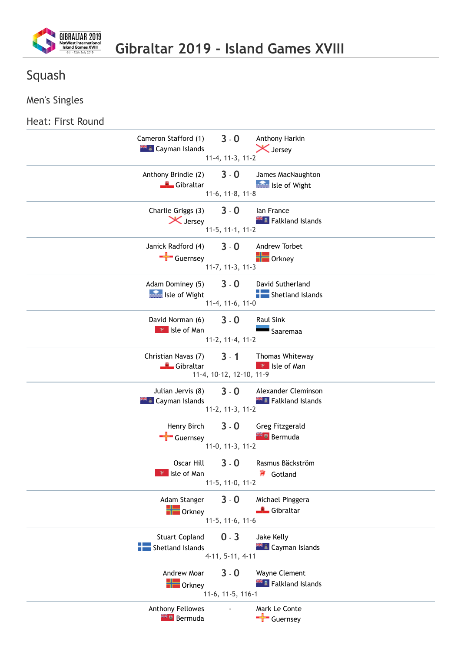

#### Men's Singles

#### Heat: First Round

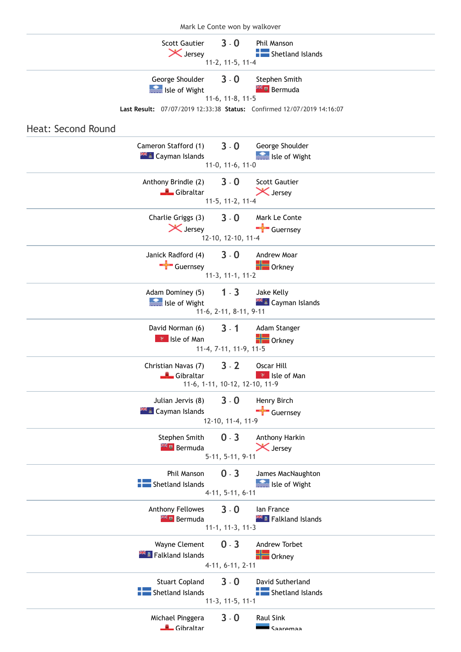| Mark Le Conte won by walkover                                                                     |  |  |  |  |  |
|---------------------------------------------------------------------------------------------------|--|--|--|--|--|
| <b>Scott Gautier</b><br>$3 - 0$<br>Phil Manson<br>X Jersey<br>Shetland Islands                    |  |  |  |  |  |
| 11-2, 11-5, 11-4                                                                                  |  |  |  |  |  |
| $3 - 0$<br>George Shoulder<br>Stephen Smith<br><b>Externe Bermuda</b><br><b>See Isle of Wight</b> |  |  |  |  |  |
| 11-6, 11-8, 11-5<br>Last Result: 07/07/2019 12:33:38 Status: Confirmed 12/07/2019 14:16:07        |  |  |  |  |  |
|                                                                                                   |  |  |  |  |  |
| Heat: Second Round                                                                                |  |  |  |  |  |
| $3 - 0$<br>Cameron Stafford (1)<br>George Shoulder                                                |  |  |  |  |  |
| <b>AFE</b> Cayman Islands<br>Isle of Wight                                                        |  |  |  |  |  |
| $11-0, 11-6, 11-0$                                                                                |  |  |  |  |  |
| $3 - 0$<br>Anthony Brindle (2)<br><b>Scott Gautier</b>                                            |  |  |  |  |  |
| X Jersey<br>Gibraltar                                                                             |  |  |  |  |  |
| 11-5, 11-2, 11-4                                                                                  |  |  |  |  |  |
| Charlie Griggs (3)<br>$3 - 0$<br>Mark Le Conte                                                    |  |  |  |  |  |
| X Jersey<br>Guernsey                                                                              |  |  |  |  |  |
| 12-10, 12-10, 11-4                                                                                |  |  |  |  |  |
| $3 - 0$<br>Janick Radford (4)<br>Andrew Moar                                                      |  |  |  |  |  |
| $\frac{1}{\sqrt{2}}$ Guernsey<br>$\blacksquare$ Orkney                                            |  |  |  |  |  |
| $11-3, 11-1, 11-2$                                                                                |  |  |  |  |  |
| $1 - 3$<br>Adam Dominey (5)<br>Jake Kelly                                                         |  |  |  |  |  |
| Isle of Wight                                                                                     |  |  |  |  |  |
| 11-6, 2-11, 8-11, 9-11                                                                            |  |  |  |  |  |
| David Norman (6)<br>$3 - 1$<br>Adam Stanger                                                       |  |  |  |  |  |
| $\blacksquare$ Orkney<br><b>R</b> Isle of Man                                                     |  |  |  |  |  |
| 11-4, 7-11, 11-9, 11-5                                                                            |  |  |  |  |  |
| $3 - 2$<br>Christian Navas (7)<br>Oscar Hill                                                      |  |  |  |  |  |
| <b>Gibraltar</b><br><b>P</b> Isle of Man                                                          |  |  |  |  |  |
| 11-6, 1-11, 10-12, 12-10, 11-9                                                                    |  |  |  |  |  |
| $3 - 0$<br>Julian Jervis (8)<br>Henry Birch                                                       |  |  |  |  |  |
| $\frac{1}{\sqrt{2}}$ Guernsey<br><b>XX &amp; Cayman Islands</b>                                   |  |  |  |  |  |
| 12-10, 11-4, 11-9                                                                                 |  |  |  |  |  |
| Stephen Smith<br>$0 - 3$<br>Anthony Harkin                                                        |  |  |  |  |  |
| <b>Ex u</b> Bermuda<br>X Jersey                                                                   |  |  |  |  |  |
| $5-11, 5-11, 9-11$                                                                                |  |  |  |  |  |
| $0 - 3$<br>Phil Manson<br>James MacNaughton                                                       |  |  |  |  |  |
| Isle of Wight<br>Shetland Islands                                                                 |  |  |  |  |  |
| 4-11, 5-11, 6-11                                                                                  |  |  |  |  |  |
| Anthony Fellowes<br>$3 - 0$<br>lan France                                                         |  |  |  |  |  |
| <b>External Bermuda</b><br><b>XXXX</b> Falkland Islands                                           |  |  |  |  |  |
| $11-1, 11-3, 11-3$                                                                                |  |  |  |  |  |
| $0 - 3$<br>Andrew Torbet<br>Wayne Clement                                                         |  |  |  |  |  |
| $\blacksquare$ Orkney<br><b>Falkland Islands</b>                                                  |  |  |  |  |  |
| 4-11, 6-11, 2-11                                                                                  |  |  |  |  |  |
| $3 - 0$<br><b>Stuart Copland</b><br>David Sutherland                                              |  |  |  |  |  |
| Shetland Islands<br>Shetland Islands                                                              |  |  |  |  |  |
| $11-3, 11-5, 11-1$                                                                                |  |  |  |  |  |
| $3 - 0$<br>Michael Pinggera<br><b>Raul Sink</b>                                                   |  |  |  |  |  |
| Gibraltar<br>Saaremaa                                                                             |  |  |  |  |  |
|                                                                                                   |  |  |  |  |  |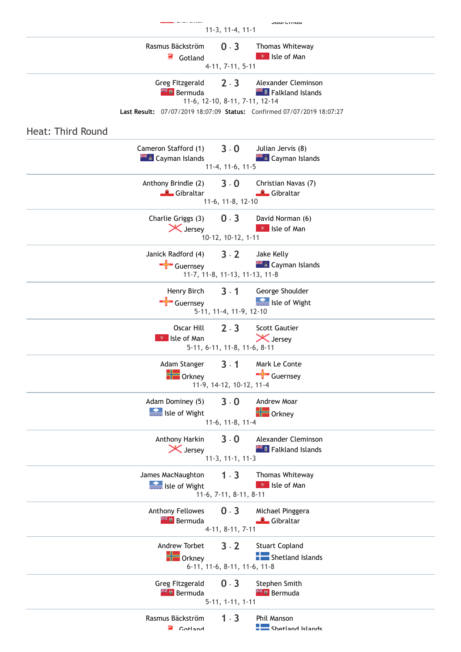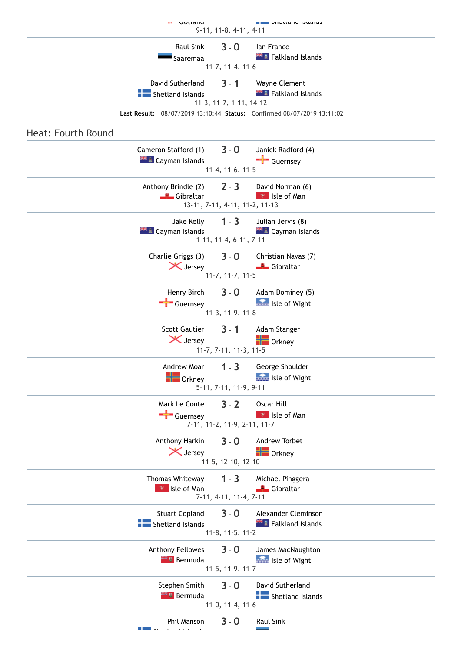|                    | <b>IM UULLAIIU</b>                                      | 9-11, 11-8, 4-11, 4-11                                        | טוויט וב∎ באוויט וויי און איז איז איז א                                                                     |  |
|--------------------|---------------------------------------------------------|---------------------------------------------------------------|-------------------------------------------------------------------------------------------------------------|--|
|                    | Raul Sink<br>Saaremaa                                   | $3 - 0$<br>11-7, 11-4, 11-6                                   | lan France<br><b>THE Falkland Islands</b>                                                                   |  |
|                    | David Sutherland<br>Shetland Islands                    | $3 - 1$<br>11-3, 11-7, 1-11, 14-12                            | Wayne Clement<br>Falkland Islands<br>Last Result: 08/07/2019 13:10:44 Status: Confirmed 08/07/2019 13:11:02 |  |
| Heat: Fourth Round | Cameron Stafford (1)<br><b>EL</b> Cayman Islands        | $3 - 0$                                                       | Janick Radford (4)<br>$\overline{\phantom{a}}$ Guernsey                                                     |  |
|                    | Anthony Brindle (2)<br>Gibraltar                        | 11-4, 11-6, 11-5<br>$2 - 3$<br>13-11, 7-11, 4-11, 11-2, 11-13 | David Norman (6)<br><b>P</b> Isle of Man                                                                    |  |
|                    | Jake Kelly<br><b>THE Cayman Islands</b>                 | $1 - 3$<br>$1-11, 11-4, 6-11, 7-11$                           | Julian Jervis (8)<br><b>A Cayman Islands</b>                                                                |  |
|                    | Charlie Griggs (3)<br>X Jersey                          | $3 - 0$<br>$11-7, 11-7, 11-5$                                 | Christian Navas (7)<br>Gibraltar                                                                            |  |
|                    | Henry Birch<br>$\leftarrow$ Guernsey                    | $3 - 0$<br>11-3, 11-9, 11-8                                   | Adam Dominey (5)<br>Isle of Wight                                                                           |  |
|                    | <b>Scott Gautier</b><br>X Jersey                        | $3 - 1$<br>11-7, 7-11, 11-3, 11-5                             | Adam Stanger<br>$\blacksquare$ Orkney                                                                       |  |
|                    | $\blacksquare$ Orkney                                   | 5-11, 7-11, 11-9, 9-11                                        | Andrew Moar 1 - 3 George Shoulder<br><b>Research Isle of Wight</b>                                          |  |
|                    | Mark Le Conte<br>$\frac{1}{\sqrt{2}}$ Guernsey          | $3 - 2$<br>7-11, 11-2, 11-9, 2-11, 11-7                       | Oscar Hill<br><b>P</b> Isle of Man                                                                          |  |
|                    | Anthony Harkin<br>X Jersey                              | $3 - 0$<br>11-5, 12-10, 12-10                                 | Andrew Torbet<br><b>DE</b> Orkney                                                                           |  |
|                    | Thomas Whiteway<br>v Isle of Man                        | $1 - 3$<br>7-11, 4-11, 11-4, 7-11                             | Michael Pinggera<br>Gibraltar                                                                               |  |
|                    | <b>Stuart Copland</b><br><b>Figure</b> Shetland Islands | $3 - 0$<br>11-8, 11-5, 11-2                                   | Alexander Cleminson<br><b>XXXX</b> Falkland Islands                                                         |  |
|                    | Anthony Fellowes<br><b>Extra</b> Bermuda                | $3 - 0$<br>11-5, 11-9, 11-7                                   | James MacNaughton<br>Isle of Wight                                                                          |  |
|                    | Stephen Smith<br><b>Extra</b> Bermuda                   | $3 - 0$<br>$11-0, 11-4, 11-6$                                 | David Sutherland<br>Shetland Islands                                                                        |  |
|                    | Phil Manson                                             | $3 - 0$                                                       | <b>Raul Sink</b>                                                                                            |  |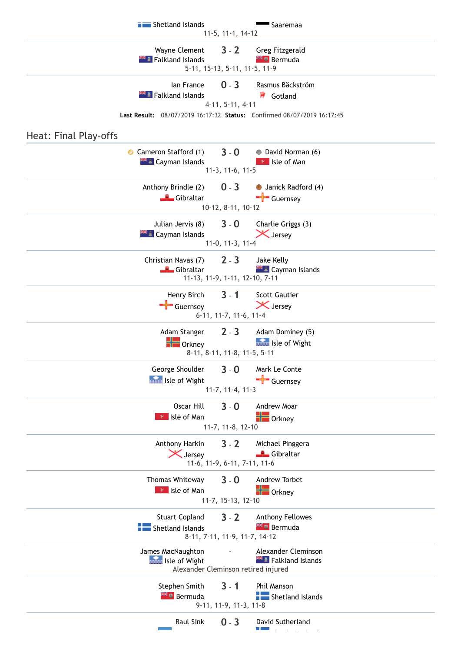**[Shetland](https://www.gibraltar2019results.com/island.aspx?IslandID=20) Islands** [Saaremaa](https://www.gibraltar2019results.com/island.aspx?IslandID=18) 11-5, 11-1, 14-12 Wayne [Clement](https://www.gibraltar2019results.com/competitor.aspx?RegID=43913) **3** - **2** Greg [Fitzgerald](https://www.gibraltar2019results.com/competitor.aspx?RegID=47504)<br>Falkland Islands **3 19 Germuda [Falkland](https://www.gibraltar2019results.com/island.aspx?IslandID=5) Islands** 5-11, 15-13, 5-11, 11-5, 11-9 Ian [France](https://www.gibraltar2019results.com/competitor.aspx?RegID=43760) **0** - **3** Rasmus [Bäckström](https://www.gibraltar2019results.com/competitor.aspx?RegID=45929) **[Falkland](https://www.gibraltar2019results.com/island.aspx?IslandID=5) Islands** [Gotland](https://www.gibraltar2019results.com/island.aspx?IslandID=8) 4-11, 5-11, 4-11 **Last Result:** 08/07/2019 16:17:32 **Status:** Confirmed 08/07/2019 16:17:45 Heat: Final Play-offs [Cameron](https://www.gibraltar2019results.com/competitor.aspx?RegID=46538) Stafford (1) **3** - **0** David [Norman](https://www.gibraltar2019results.com/competitor.aspx?RegID=45488) (6) **Example 2 September 2018** Isle of [Man](https://www.gibraltar2019results.com/island.aspx?IslandID=12) 11-3, 11-6, 11-5 [Anthony Brindle](https://www.gibraltar2019results.com/competitor.aspx?RegID=46175) (2) **0** - **3** Janick [Radford](https://www.gibraltar2019results.com/competitor.aspx?RegID=45020) (4) [Gibraltar](https://www.gibraltar2019results.com/island.aspx?IslandID=7) [Guernsey](https://www.gibraltar2019results.com/island.aspx?IslandID=10) 10-12, 8-11, 10-12 [Julian](https://www.gibraltar2019results.com/competitor.aspx?RegID=46542) Jervis (8) **3** - **0** [Charlie](https://www.gibraltar2019results.com/competitor.aspx?RegID=44231) Griggs (3) **THE [Cayman](https://www.gibraltar2019results.com/island.aspx?IslandID=4) Islands** 11-0, 11-3, 11-4 [Christian](https://www.gibraltar2019results.com/competitor.aspx?RegID=46171) Navas (7) **2** - **3** Jake [Kelly](https://www.gibraltar2019results.com/competitor.aspx?RegID=46541)  $\mathbb{R}$  [Cayman](https://www.gibraltar2019results.com/island.aspx?IslandID=4) Islands 11-13, 11-9, 1-11, 12-10, 7-11 [Henry Birch](https://www.gibraltar2019results.com/competitor.aspx?RegID=45018) **3** - **1** Scott [Gautier](https://www.gibraltar2019results.com/competitor.aspx?RegID=44230)  $\blacktriangle$  [Guernsey](https://www.gibraltar2019results.com/island.aspx?IslandID=10)  $\blacktriangleright$  [Jersey](https://www.gibraltar2019results.com/island.aspx?IslandID=14) 6-11, 11-7, 11-6, 11-4 [Adam Stanger](https://www.gibraltar2019results.com/competitor.aspx?RegID=44189) **2** - **3** [Adam Dominey \(5\)](https://www.gibraltar2019results.com/competitor.aspx?RegID=44053) **The [Orkney](https://www.gibraltar2019results.com/island.aspx?IslandID=15) Communist Street Street Street Street Street Street Street Street Street** Street Street Street Street 8-11, 8-11, 11-8, 11-5, 5-11 George [Shoulder](https://www.gibraltar2019results.com/competitor.aspx?RegID=43746) **3** - **0** Mark Le [Conte](https://www.gibraltar2019results.com/competitor.aspx?RegID=45021) **Isle of [Wight](https://www.gibraltar2019results.com/island.aspx?IslandID=13)** [Guernsey](https://www.gibraltar2019results.com/island.aspx?IslandID=10) 11-7, 11-4, 11-3 [Oscar](https://www.gibraltar2019results.com/competitor.aspx?RegID=45581) Hill **3** - **0** [Andrew](https://www.gibraltar2019results.com/competitor.aspx?RegID=44193) Moar **Isle of [Man](https://www.gibraltar2019results.com/island.aspx?IslandID=12) Communist Struck** [Orkney](https://www.gibraltar2019results.com/island.aspx?IslandID=15) 11-7, 11-8, 12-10 [Anthony Harkin](https://www.gibraltar2019results.com/competitor.aspx?RegID=47568) **3** - **2** Michael [Pinggera](https://www.gibraltar2019results.com/competitor.aspx?RegID=46197) [Jersey](https://www.gibraltar2019results.com/island.aspx?IslandID=14) [Gibraltar](https://www.gibraltar2019results.com/island.aspx?IslandID=7) 11-6, 11-9, 6-11, 7-11, 11-6 Thomas [Whiteway](https://www.gibraltar2019results.com/competitor.aspx?RegID=45481) **3** - **0** [Andrew](https://www.gibraltar2019results.com/competitor.aspx?RegID=44188) Torbet **I**sle of [Man](https://www.gibraltar2019results.com/island.aspx?IslandID=12) **Communist Strutter** [Orkney](https://www.gibraltar2019results.com/island.aspx?IslandID=15) 11-7, 15-13, 12-10 Stuart [Copland](https://www.gibraltar2019results.com/competitor.aspx?RegID=45527) **3** - **2** [Anthony Fellowes](https://www.gibraltar2019results.com/competitor.aspx?RegID=44522) **[Shetland](https://www.gibraltar2019results.com/island.aspx?IslandID=20) Islands** 8-11, 7-11, 11-9, 11-7, 14-12 James [MacNaughton](https://www.gibraltar2019results.com/competitor.aspx?RegID=44017) **Fig. 2.** Alexander [Cleminson](https://www.gibraltar2019results.com/competitor.aspx?RegID=43761) **Isle of [Wight](https://www.gibraltar2019results.com/island.aspx?IslandID=13)** [Falkland](https://www.gibraltar2019results.com/island.aspx?IslandID=5) Islands Alexander Cleminson retired injured [Stephen](https://www.gibraltar2019results.com/competitor.aspx?RegID=44520) Smith **3** - **1** Phil [Manson](https://www.gibraltar2019results.com/competitor.aspx?RegID=45531) **[Bermuda](https://www.gibraltar2019results.com/island.aspx?IslandID=3) [Shetland](https://www.gibraltar2019results.com/island.aspx?IslandID=20) Islands** 9-11, 11-9, 11-3, 11-8 [Raul](https://www.gibraltar2019results.com/competitor.aspx?RegID=46455) Sink **0** - **3** David [Sutherland](https://www.gibraltar2019results.com/competitor.aspx?RegID=45532) h l [d](https://www.gibraltar2019results.com/island.aspx?IslandID=20)'an dùthchan<br>L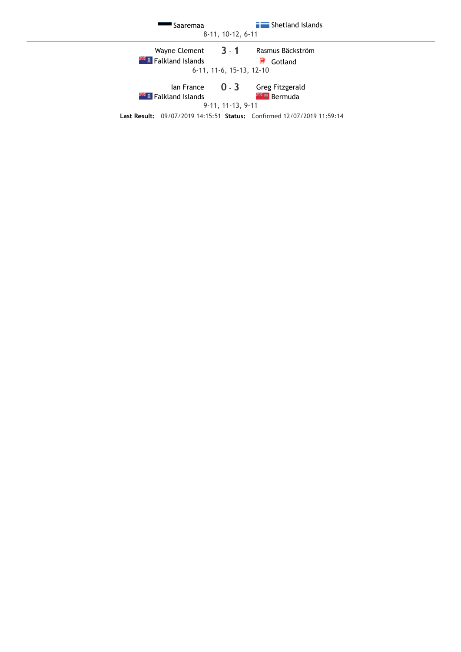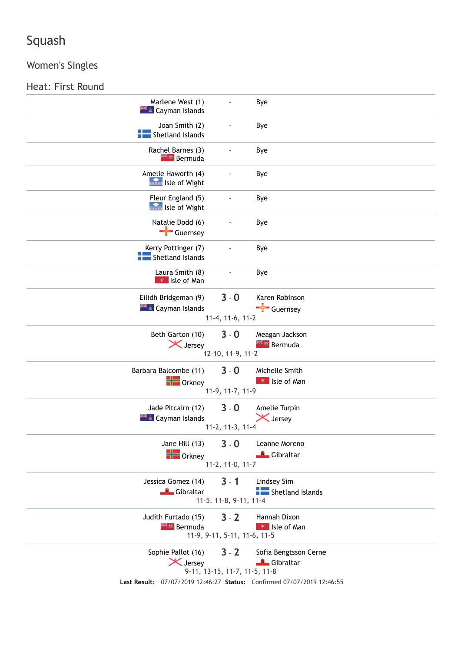## Women's Singles

## Heat: First Round

| Marlene West (1)<br><b>EL</b> Cayman Islands      |                                          | Bye                                                                                                          |
|---------------------------------------------------|------------------------------------------|--------------------------------------------------------------------------------------------------------------|
| Joan Smith (2)<br>Shetland Islands                |                                          | Bye                                                                                                          |
| Rachel Barnes (3)<br><b>AK u</b> Bermuda          |                                          | Bye                                                                                                          |
| Amelie Haworth (4)<br><b>SEE Isle of Wight</b>    |                                          | Bye                                                                                                          |
| Fleur England (5)<br>Isle of Wight                |                                          | Bye                                                                                                          |
| Natalie Dodd (6)<br>Guernsey                      |                                          | Bye                                                                                                          |
| Kerry Pottinger (7)<br>Shetland Islands           |                                          | Bye                                                                                                          |
| Laura Smith (8)<br><b>*</b> Isle of Man           |                                          | Bye                                                                                                          |
| Eilidh Bridgeman (9)<br><b>AKE</b> Cayman Islands | $3 - 0$<br>11-4, 11-6, 11-2              | Karen Robinson<br>Guernsey                                                                                   |
| Beth Garton (10)<br>X Jersey                      | $3 - 0$<br>12-10, 11-9, 11-2             | Meagan Jackson<br><b>XX II</b> Bermuda                                                                       |
| Barbara Balcombe (11)<br>$\blacksquare$ Orkney    | $3 - 0$<br>11-9, 11-7, 11-9              | Michelle Smith<br><b>P</b> Isle of Man                                                                       |
| Jade Pitcairn (12)<br><b>HEL</b> Cayman Islands   | $3 - 0$<br>11-2, 11-3, 11-4              | Amelie Turpin<br>X Jersey                                                                                    |
| Jane Hill (13)<br>$\blacksquare$ Orkney           | $3 - 0$<br>11-2, 11-0, 11-7              | Leanne Moreno<br>Gibraltar                                                                                   |
| Jessica Gomez (14)<br>Gibraltar                   | $3 - 1$<br>11-5, 11-8, 9-11, 11-4        | Lindsey Sim<br>Shetland Islands                                                                              |
| Judith Furtado (15)<br><b>External Bermuda</b>    | $3 - 2$<br>11-9, 9-11, 5-11, 11-6, 11-5  | Hannah Dixon<br>$\mathbb{R}$ Isle of Man                                                                     |
| Sophie Pallot (16)<br>X Jersey                    | $3 - 2$<br>9-11, 13-15, 11-7, 11-5, 11-8 | Sofia Bengtsson Cerne<br>Gibraltar<br>Last Result: 07/07/2019 12:46:27 Status: Confirmed 07/07/2019 12:46:55 |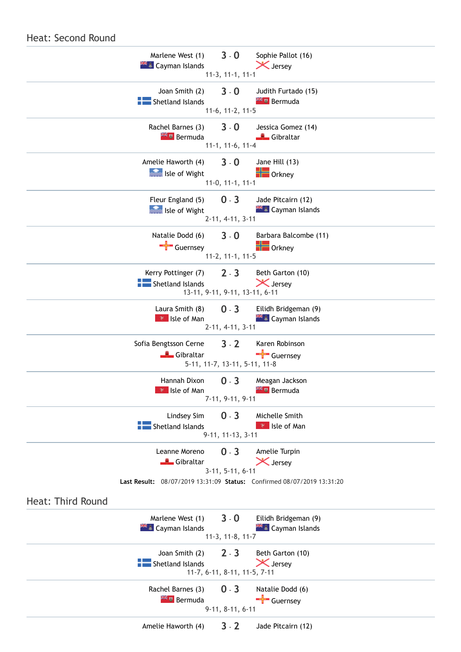

#### Heat: Second Round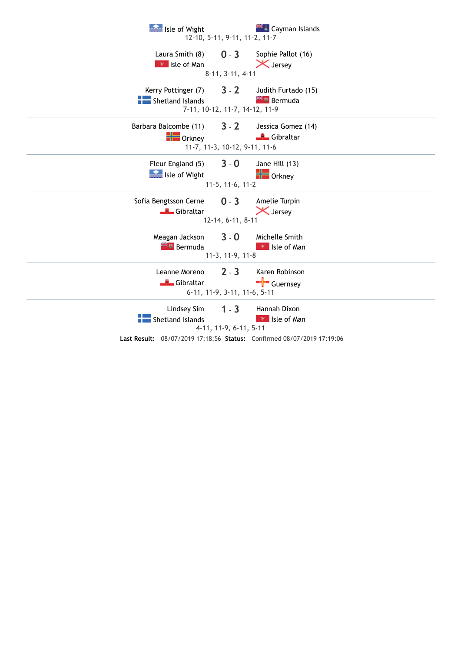| Isle of Wight                   | 12-10, 5-11, 9-11, 11-2, 11-7     | <b>E</b> Cayman Islands                                                                                        |
|---------------------------------|-----------------------------------|----------------------------------------------------------------------------------------------------------------|
| Laura Smith (8)                 | $0 - 3$                           | Sophie Pallot (16)                                                                                             |
| <b>P</b> Isle of Man            | 8-11, 3-11, 4-11                  | X Jersey                                                                                                       |
| Kerry Pottinger (7)             | $3 - 2$                           | Judith Furtado (15)                                                                                            |
| Shetland Islands                | 7-11, 10-12, 11-7, 14-12, 11-9    | <b>Extra</b> Bermuda                                                                                           |
| Barbara Balcombe (11)           | $3 - 2$                           | Jessica Gomez (14)                                                                                             |
| $\blacksquare$ Orkney           | 11-7, 11-3, 10-12, 9-11, 11-6     | Gibraltar                                                                                                      |
| Fleur England (5)               | $3 - 0$                           | Jane Hill (13)                                                                                                 |
| Isle of Wight                   | $11-5, 11-6, 11-2$                | $\frac{1}{2}$ Orkney                                                                                           |
| Sofia Bengtsson Cerne           | $0 - 3$                           | Amelie Turpin                                                                                                  |
| Gibraltar                       | 12-14, 6-11, 8-11                 | <b>X</b> Jersey                                                                                                |
| Meagan Jackson                  | $3 - 0$                           | Michelle Smith                                                                                                 |
| <b>External Bermuda</b>         | 11-3, 11-9, 11-8                  | <b>P</b> Isle of Man                                                                                           |
| Leanne Moreno                   | $2 - 3$                           | Karen Robinson                                                                                                 |
| Gibraltar                       | 6-11, 11-9, 3-11, 11-6, 5-11      | $\frac{1}{\sqrt{2}}$ Guernsey                                                                                  |
| Lindsey Sim<br>Shetland Islands | $1 - 3$<br>4-11, 11-9, 6-11, 5-11 | Hannah Dixon<br><b>P</b> Isle of Man<br>Last Result: 08/07/2019 17:18:56 Status: Confirmed 08/07/2019 17:19:06 |
|                                 |                                   |                                                                                                                |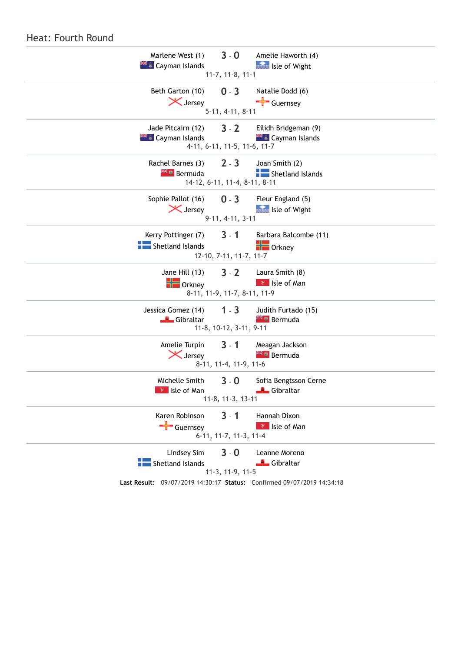| Heat: Fourth Round                           |                               |                                                                                                      |
|----------------------------------------------|-------------------------------|------------------------------------------------------------------------------------------------------|
| Marlene West (1)                             | $3 - 0$                       | Amelie Haworth (4)                                                                                   |
| <b>XXXX</b> Cayman Islands                   | $11-7, 11-8, 11-1$            | Isle of Wight                                                                                        |
| Beth Garton (10)                             | $0 - 3$                       | Natalie Dodd (6)                                                                                     |
| <b>X</b> Jersey                              | $5-11, 4-11, 8-11$            | Guernsey                                                                                             |
| Jade Pitcairn (12)                           | $3 - 2$                       | Eilidh Bridgeman (9)                                                                                 |
| <b>XK A</b> Cayman Islands                   | 4-11, 6-11, 11-5, 11-6, 11-7  | <b>E</b> Cayman Islands                                                                              |
| Rachel Barnes (3)                            | $2 - 3$                       | Joan Smith (2)                                                                                       |
| <b>Extra</b> Bermuda                         | 14-12, 6-11, 11-4, 8-11, 8-11 | Shetland Islands                                                                                     |
| Sophie Pallot (16)                           | $0 - 3$                       | Fleur England (5)                                                                                    |
| X Jersey                                     | 9-11, 4-11, 3-11              | Isle of Wight                                                                                        |
| Kerry Pottinger (7)                          | $3 - 1$                       | Barbara Balcombe (11)                                                                                |
| Shetland Islands                             | 12-10, 7-11, 11-7, 11-7       | $\frac{1}{2}$ Orkney                                                                                 |
| Jane Hill (13)                               | $3 - 2$                       | Laura Smith (8)                                                                                      |
| $\blacksquare$ Orkney                        | 8-11, 11-9, 11-7, 8-11, 11-9  | <b>*</b> Isle of Man                                                                                 |
| Jessica Gomez (14)                           | $1 - 3$                       | Judith Furtado (15)                                                                                  |
| Gibraltar                                    | 11-8, 10-12, 3-11, 9-11       | <b>TE</b> Bermuda                                                                                    |
| Amelie Turpin                                | $3 - 1$                       | Meagan Jackson                                                                                       |
| X Jersey                                     | 8-11, 11-4, 11-9, 11-6        | <b>Externe Bermuda</b>                                                                               |
| Michelle Smith 3 - 0<br><b>*</b> Isle of Man | 11-8, 11-3, 13-11             | Sofia Bengtsson Cerne<br>Gibraltar                                                                   |
| Karen Robinson                               | $3 - 1$                       | Hannah Dixon                                                                                         |
| $\frac{1}{\sqrt{2}}$ Guernsey                | 6-11, 11-7, 11-3, 11-4        | <b>P</b> Isle of Man                                                                                 |
| Lindsey Sim<br>Shetland Islands              | $3 - 0$<br>11-3, 11-9, 11-5   | Leanne Moreno<br>Gibraltar<br>Last Result: 09/07/2019 14:30:17 Status: Confirmed 09/07/2019 14:34:18 |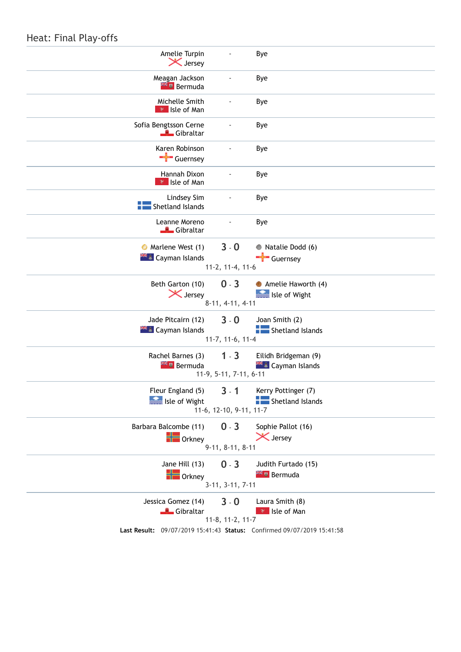### Heat: Final Play-offs

| Amelie Turpin<br><b>X</b> Jersey                | $\qquad \qquad \blacksquare$       | Bye                                                                                                               |
|-------------------------------------------------|------------------------------------|-------------------------------------------------------------------------------------------------------------------|
| Meagan Jackson<br><b>Extra</b> Bermuda          |                                    | Bye                                                                                                               |
| Michelle Smith<br><b>P</b> Isle of Man          |                                    | Bye                                                                                                               |
| Sofia Bengtsson Cerne<br>Gibraltar              |                                    | Bye                                                                                                               |
| Karen Robinson<br>Guernsey                      |                                    | Bye                                                                                                               |
| Hannah Dixon<br><b>*</b> Isle of Man            |                                    | Bye                                                                                                               |
| Lindsey Sim<br>Shetland Islands                 | $\qquad \qquad \blacksquare$       | Bye                                                                                                               |
| Leanne Moreno<br>Gibraltar                      |                                    | Bye                                                                                                               |
| • Marlene West (1)<br><b>AKE</b> Cayman Islands | $3 - 0$<br>11-2, 11-4, 11-6        | Natalie Dodd (6)<br>$\leftarrow$ Guernsey                                                                         |
| Beth Garton (10)<br>X Jersey                    | $0 - 3$<br>$8-11, 4-11, 4-11$      | Amelie Haworth (4)<br><b>See Isle of Wight</b>                                                                    |
| Jade Pitcairn (12)<br><b>EL</b> Cayman Islands  | $3 - 0$<br>11-7, 11-6, 11-4        | Joan Smith (2)<br>Shetland Islands                                                                                |
| Rachel Barnes (3)<br><b>Externe Bermuda</b>     | $1 - 3$<br>11-9, 5-11, 7-11, 6-11  | Eilidh Bridgeman (9)<br><b>XX &amp; Cayman Islands</b>                                                            |
| Fleur England (5)<br>Isle of Wight              | $3 - 1$<br>11-6, 12-10, 9-11, 11-7 | Kerry Pottinger (7)<br>Shetland Islands                                                                           |
| Barbara Balcombe (11)<br>$\blacksquare$ Orkney  | $0 - 3$<br>$9-11, 8-11, 8-11$      | Sophie Pallot (16)<br>X Jersey                                                                                    |
| Jane Hill (13)<br>$\blacksquare$ Orkney         | $0 - 3$<br>$3-11, 3-11, 7-11$      | Judith Furtado (15)<br><b>Extra</b> Bermuda                                                                       |
| Jessica Gomez (14)<br>Gibraltar                 | $3 - 0$<br>11-8, 11-2, 11-7        | Laura Smith (8)<br><b>P</b> Isle of Man<br>Last Result: 09/07/2019 15:41:43 Status: Confirmed 09/07/2019 15:41:58 |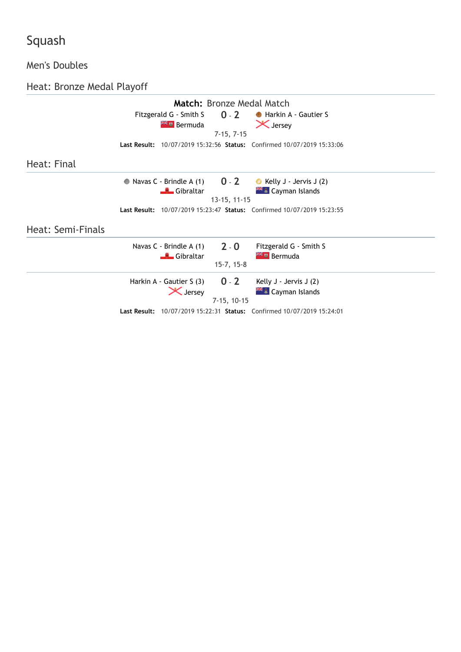## Men's Doubles

Heat: Bronze Medal Playoff

|                   | <b>Match:</b> Bronze Medal Match                                                                 |  |
|-------------------|--------------------------------------------------------------------------------------------------|--|
|                   | Fitzgerald G - Smith S 0 - 2<br>Harkin A - Gautier S                                             |  |
|                   | $\mathsf{\times}$ Jersey<br><b>AFT</b> Bermuda<br>$7-15, 7-15$                                   |  |
|                   | Last Result: 10/07/2019 15:32:56 Status: Confirmed 10/07/2019 15:33:06                           |  |
|                   |                                                                                                  |  |
| Heat: Final       |                                                                                                  |  |
|                   | • Navas C - Brindle A $(1)$ 0 - 2<br>Kelly J - Jervis J (2)                                      |  |
|                   | <b>THE Cayman Islands</b><br>Gibraltar <b>Albert</b>                                             |  |
|                   | 13-15, 11-15                                                                                     |  |
|                   | Last Result: 10/07/2019 15:23:47 Status: Confirmed 10/07/2019 15:23:55                           |  |
| Heat: Semi-Finals |                                                                                                  |  |
|                   | Navas C - Brindle A $(1)$ 2 - 0<br>Fitzgerald G - Smith S<br><b>Externe Bermuda</b><br>Gibraltar |  |
|                   | $15-7, 15-8$                                                                                     |  |
|                   | Harkin A - Gautier S $(3)$ 0 - 2<br>Kelly $J -$ Jervis $J(2)$                                    |  |
|                   | X Jersey<br><b>ALL</b> Cayman Islands<br>$7-15, 10-15$                                           |  |
|                   | Last Result: 10/07/2019 15:22:31 Status: Confirmed 10/07/2019 15:24:01                           |  |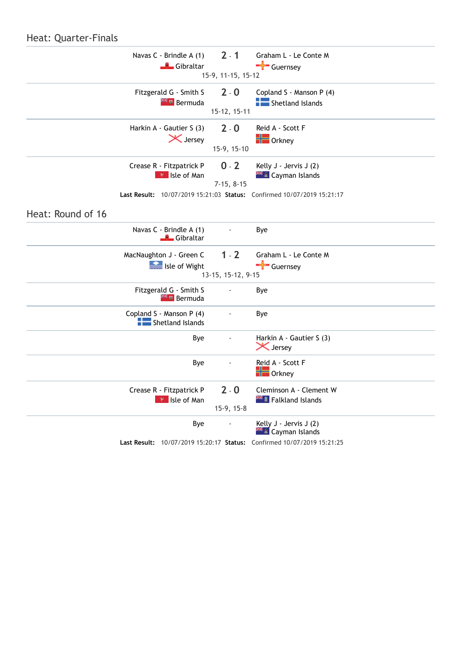#### Heat: Quarter-Finals

|                   | Navas C - Brindle A (1)                        | $2 - 1$            | Graham L - Le Conte M                                                  |  |
|-------------------|------------------------------------------------|--------------------|------------------------------------------------------------------------|--|
|                   | Gibraltar                                      |                    | Guernsey                                                               |  |
|                   |                                                | 15-9, 11-15, 15-12 |                                                                        |  |
|                   | Fitzgerald G - Smith S<br><b>Extra</b> Bermuda | $2 - 0$            | Copland S - Manson P (4)<br>Shetland Islands                           |  |
|                   |                                                | 15-12, 15-11       |                                                                        |  |
|                   | Harkin A - Gautier S (3)                       | $2 - 0$            | Reid A - Scott F                                                       |  |
|                   | X Jersey                                       | 15-9, 15-10        | $\blacksquare$ Orkney                                                  |  |
|                   | Crease R - Fitzpatrick P                       | $0 - 2$            | Kelly J - Jervis J (2)                                                 |  |
|                   | R Isle of Man                                  | $7-15, 8-15$       | <b>** £</b> Cayman Islands                                             |  |
|                   |                                                |                    | Last Result: 10/07/2019 15:21:03 Status: Confirmed 10/07/2019 15:21:17 |  |
| Heat: Round of 16 |                                                |                    |                                                                        |  |
|                   | Navas C - Brindle A (1)<br>Gibraltar           |                    | Bye                                                                    |  |
|                   | MacNaughton J - Green C                        | $1 - 2$            | Graham L - Le Conte M                                                  |  |
|                   | Isle of Wight                                  | 13-15, 15-12, 9-15 | $\frac{1}{\sqrt{2}}$ Guernsey                                          |  |
|                   | Fitzgerald G - Smith S                         |                    |                                                                        |  |
|                   | <sup>24</sup> Bermuda                          |                    | Bye                                                                    |  |
|                   | Copland S - Manson P (4)<br>Shetland Islands   |                    | Bye                                                                    |  |
|                   | Bye                                            |                    | Harkin A - Gautier S (3)<br>X Jersey                                   |  |
|                   | Bye                                            |                    | Reid A - Scott F                                                       |  |
|                   |                                                |                    | $\blacksquare$ Orkney                                                  |  |
|                   | Crease R - Fitzpatrick P                       | $2 - 0$            | Cleminson A - Clement W                                                |  |
|                   | <b>*</b> Isle of Man                           | 15-9, 15-8         | <b>KE Falkland Islands</b>                                             |  |
|                   | Bye                                            |                    | Kelly J - Jervis J (2)<br><b>KE Cayman Islands</b>                     |  |
|                   |                                                |                    | Last Result: 10/07/2019 15:20:17 Status: Confirmed 10/07/2019 15:21:25 |  |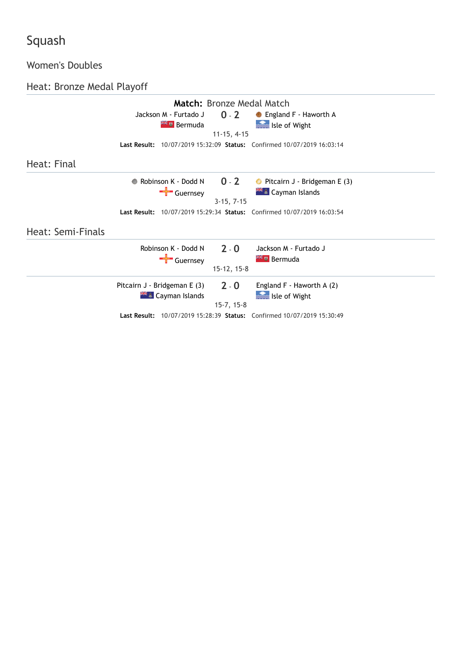## Women's Doubles

Heat: Bronze Medal Playoff

| Match: Bronze Medal Match |                                             |               |                                                                               |  |
|---------------------------|---------------------------------------------|---------------|-------------------------------------------------------------------------------|--|
|                           | Jackson M - Furtado J                       | $0 - 2$       | <b>C</b> England F - Haworth A                                                |  |
|                           | <b>Extra</b> Bermuda                        |               | Isle of Wight                                                                 |  |
|                           |                                             | $11-15, 4-15$ |                                                                               |  |
|                           |                                             |               | Last Result: 10/07/2019 15:32:09 Status: Confirmed 10/07/2019 16:03:14        |  |
| Heat: Final               |                                             |               |                                                                               |  |
|                           | Robinson $K - D$ odd N $O - 2$<br>$\bullet$ |               | Pitcairn J - Bridgeman E (3)                                                  |  |
|                           | $\leftarrow$ Guernsey                       |               | <b>AKE</b> Cayman Islands                                                     |  |
|                           |                                             | $3-15, 7-15$  |                                                                               |  |
|                           |                                             |               | <b>Last Result:</b> 10/07/2019 15:29:34 Status: Confirmed 10/07/2019 16:03:54 |  |
| Heat: Semi-Finals         |                                             |               |                                                                               |  |
|                           | Robinson K - Dodd N                         | $2 - 0$       | Jackson M - Furtado J                                                         |  |
|                           | $\frac{1}{\sqrt{2}}$ Guernsey               |               | <b>Externe Bermuda</b>                                                        |  |
|                           |                                             | $15-12, 15-8$ |                                                                               |  |
|                           | Pitcairn J - Bridgeman E (3)                | $2 - 0$       | England F - Haworth A (2)                                                     |  |
|                           | <b>AK A</b> Cayman Islands                  |               | Isle of Wight                                                                 |  |
|                           |                                             | $15-7, 15-8$  |                                                                               |  |
|                           |                                             |               | <b>Last Result:</b> 10/07/2019 15:28:39 Status: Confirmed 10/07/2019 15:30:49 |  |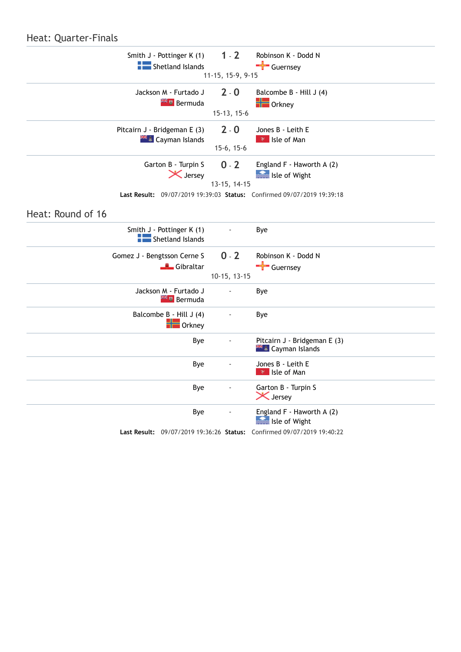#### Heat: Quarter-Finals

| Smith J - Pottinger K (1)<br>Shetland Islands     | $1 - 2$           | Robinson K - Dodd N<br>$\frac{1}{\sqrt{2}}$ Guernsey                   |  |
|---------------------------------------------------|-------------------|------------------------------------------------------------------------|--|
|                                                   | 11-15, 15-9, 9-15 |                                                                        |  |
| Jackson M - Furtado J<br><b>Externe Bermuda</b>   | $2 - 0$           | Balcombe B - Hill J (4)<br>$\blacksquare$ Orkney                       |  |
|                                                   | 15-13, 15-6       |                                                                        |  |
| Pitcairn J - Bridgeman E (3)                      | $2 - 0$           | Jones B - Leith E                                                      |  |
| <b>HEL</b> Cayman Islands                         | $15-6, 15-6$      | <b>R</b> Isle of Man                                                   |  |
| Garton B - Turpin S                               | $0 - 2$           | England F - Haworth A (2)                                              |  |
| X Jersey                                          | 13-15, 14-15      | Isle of Wight                                                          |  |
|                                                   |                   | Last Result: 09/07/2019 19:39:03 Status: Confirmed 09/07/2019 19:39:18 |  |
|                                                   |                   |                                                                        |  |
| Heat: Round of 16                                 |                   |                                                                        |  |
| Smith J - Pottinger K (1)<br>Shetland Islands     |                   | Bye                                                                    |  |
| Gomez J - Bengtsson Cerne S                       | $0 - 2$           | Robinson K - Dodd N                                                    |  |
| Gibraltar                                         | 10-15, 13-15      | $\frac{1}{\sqrt{1-x}}$ Guernsey                                        |  |
| Jackson M - Furtado J<br><b>Example 1</b> Bermuda |                   | Bye                                                                    |  |
| Balcombe B - Hill J (4)<br>$\blacksquare$ Orkney  |                   | Bye                                                                    |  |
| Bye                                               |                   | Pitcairn J - Bridgeman E (3)<br><b>** £</b> Cayman Islands             |  |
| Bye                                               |                   | Jones B - Leith E                                                      |  |
|                                                   |                   | $\mathbb{R}$ Isle of Man                                               |  |
| Bye                                               |                   | Garton B - Turpin S<br><b>X</b> Jersey                                 |  |
| Bye                                               |                   | England F - Haworth A (2)<br>Isle of Wight                             |  |
|                                                   |                   | Last Result: 09/07/2019 19:36:26 Status: Confirmed 09/07/2019 19:40:22 |  |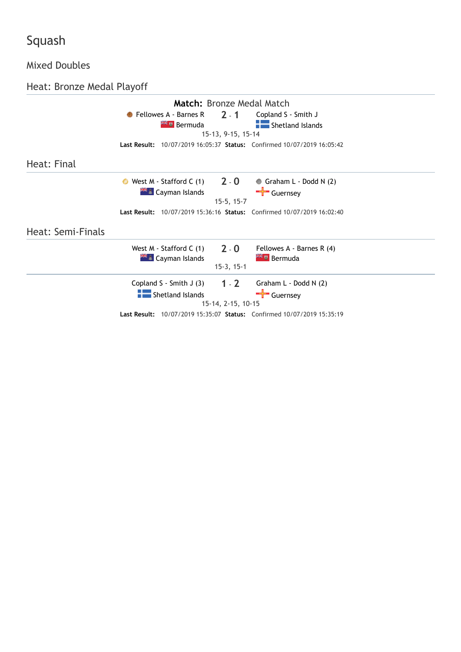#### Mixed Doubles

Heat: Bronze Medal Playoff

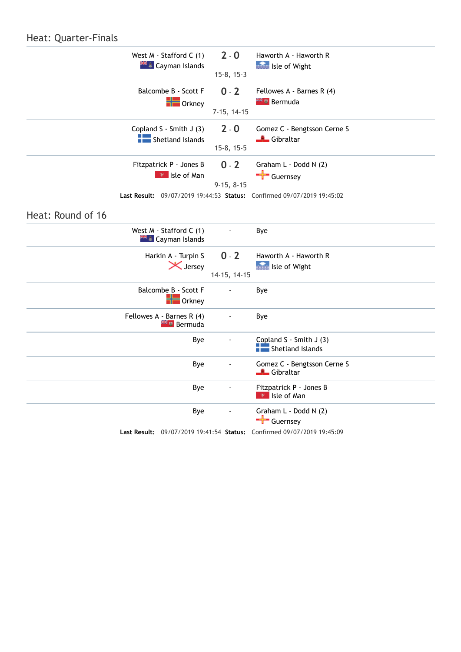#### Heat: Quarter-Finals

|                   | West M - Stafford C (1)<br><b>XX &amp; Cayman Islands</b> | $2 - 0$<br>$15-8, 15-3$  | Haworth A - Haworth R<br>Isle of Wight                                                                                                       |  |
|-------------------|-----------------------------------------------------------|--------------------------|----------------------------------------------------------------------------------------------------------------------------------------------|--|
|                   | Balcombe B - Scott F<br>$\frac{1}{\sqrt{2}}$ Orkney       | $0 - 2$<br>$7-15, 14-15$ | Fellowes A - Barnes R (4)<br><b>Example 2</b> Bermuda                                                                                        |  |
|                   | Copland S - Smith J (3)<br>Shetland Islands               | $2 - 0$<br>$15-8, 15-5$  | Gomez C - Bengtsson Cerne S<br>└ <sup>''</sup> Gibraltar                                                                                     |  |
|                   | Fitzpatrick P - Jones B<br>$\mathbb{R}$ Isle of Man       | $0 - 2$<br>$9-15, 8-15$  | Graham L - Dodd N (2)<br>$\frac{1}{\sqrt{1-\frac{1}{2}}}$ Guernsey<br>Last Result: 09/07/2019 19:44:53 Status: Confirmed 09/07/2019 19:45:02 |  |
| Heat: Round of 16 |                                                           |                          |                                                                                                                                              |  |
|                   | West M - Stafford C (1)<br><b>** £</b> Cayman Islands     |                          | Bye                                                                                                                                          |  |
|                   | Harkin A - Turpin S<br>X Jersey                           | $0 - 2$<br>14-15, 14-15  | Haworth A - Haworth R<br>Isle of Wight                                                                                                       |  |
|                   | Balcombe B - Scott F<br>$\blacksquare$ Orkney             |                          | Bye                                                                                                                                          |  |
|                   | Fellowes A - Barnes R (4)<br><sup>24</sup> Bermuda        | ÷,                       | Bye                                                                                                                                          |  |
|                   | Bye                                                       |                          | Copland S - Smith J (3)<br>Shetland Islands                                                                                                  |  |
|                   | Bye                                                       |                          | Gomez C - Bengtsson Cerne S<br>Gibraltar                                                                                                     |  |
|                   | Bye                                                       |                          | Fitzpatrick P - Jones B<br><b>P</b> Isle of Man                                                                                              |  |
|                   | Bye                                                       |                          | Graham L - Dodd N (2)<br>Guernsey                                                                                                            |  |
|                   |                                                           |                          | Last Result: 09/07/2019 19:41:54 Status: Confirmed 09/07/2019 19:45:09                                                                       |  |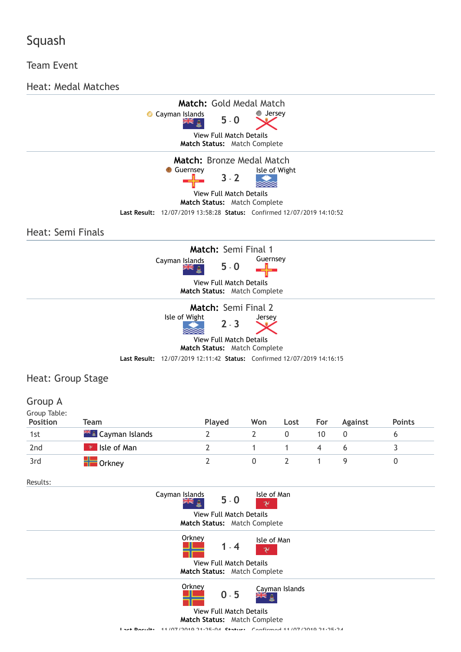#### Team Event

Heat: Medal Matches